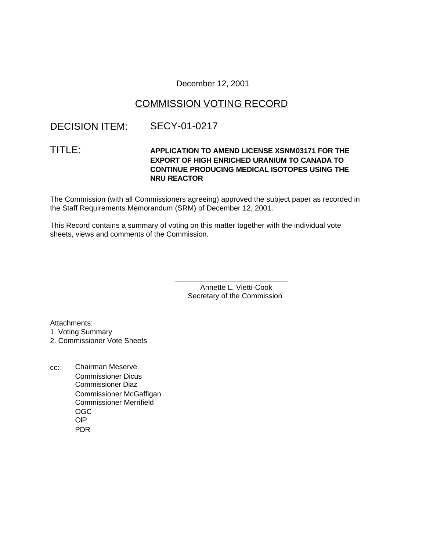December 12, 2001

# COMMISSION VOTING RECORD

# DECISION ITEM: SECY-01-0217

### TITLE: **APPLICATION TO AMEND LICENSE XSNM03171 FOR THE EXPORT OF HIGH ENRICHED URANIUM TO CANADA TO CONTINUE PRODUCING MEDICAL ISOTOPES USING THE NRU REACTOR**

The Commission (with all Commissioners agreeing) approved the subject paper as recorded in the Staff Requirements Memorandum (SRM) of December 12, 2001.

This Record contains a summary of voting on this matter together with the individual vote sheets, views and comments of the Commission.

> Annette L. Vietti-Cook Secretary of the Commission

\_\_\_\_\_\_\_\_\_\_\_\_\_\_\_\_\_\_\_\_\_\_\_\_\_\_\_

Attachments: 1. Voting Summary 2. Commissioner Vote Sheets

cc: Chairman Meserve Commissioner Dicus Commissioner Diaz Commissioner McGaffigan Commissioner Merrifield OGC OIP PDR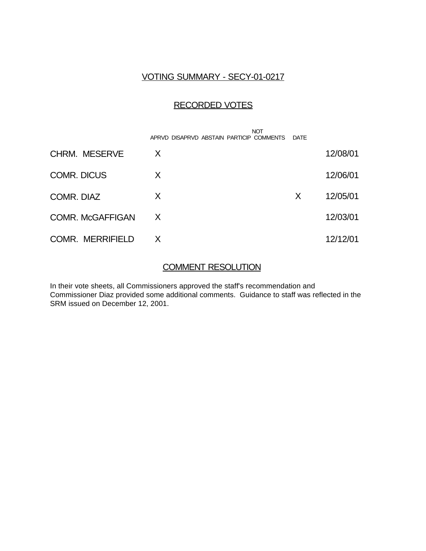## VOTING SUMMARY - SECY-01-0217

# RECORDED VOTES

|                         | <b>NOT</b><br>APRVD DISAPRVD ABSTAIN PARTICIP COMMENTS | DATE |          |
|-------------------------|--------------------------------------------------------|------|----------|
| <b>CHRM. MESERVE</b>    | X                                                      |      | 12/08/01 |
| <b>COMR. DICUS</b>      | X                                                      |      | 12/06/01 |
| COMR. DIAZ              | X                                                      | X    | 12/05/01 |
| <b>COMR. McGAFFIGAN</b> | X                                                      |      | 12/03/01 |
| <b>COMR. MERRIFIELD</b> | X                                                      |      | 12/12/01 |

## COMMENT RESOLUTION

In their vote sheets, all Commissioners approved the staff's recommendation and Commissioner Diaz provided some additional comments. Guidance to staff was reflected in the SRM issued on December 12, 2001.